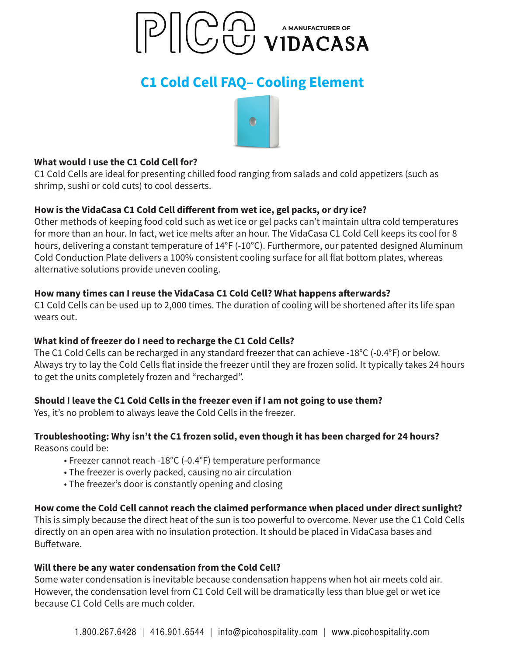

# **C1 Cold Cell FAQ - Cooling Element**



# What would I use the C1 Cold Cell for?

C1 Cold Cells are ideal for presenting chilled food ranging from salads and cold appetizers (such as shrimp, sushi or cold cuts) to cool desserts.

# How is the VidaCasa C1 Cold Cell different from wet ice, gel packs, or dry ice?

Other methods of keeping food cold such as wet ice or gel packs can't maintain ultra cold temperatures for more than an hour. In fact, wet ice melts after an hour. The VidaCasa C1 Cold Cell keeps its cool for 8 hours, delivering a constant temperature of 14°F (-10°C). Furthermore, our patented designed Aluminum Cold Conduction Plate delivers a 100% consistent cooling surface for all flat bottom plates, whereas alternative solutions provide uneven cooling.

# How many times can I reuse the VidaCasa C1 Cold Cell? What happens afterwards?

C1 Cold Cells can be used up to 2,000 times. The duration of cooling will be shortened after its life span wears out.

## What kind of freezer do I need to recharge the C1 Cold Cells?

The C1 Cold Cells can be recharged in any standard freezer that can achieve -18°C (-0.4°F) or below. Always try to lay the Cold Cells flat inside the freezer until they are frozen solid. It typically takes 24 hours to get the units completely frozen and "recharged".

# Should I leave the C1 Cold Cells in the freezer even if I am not going to use them?

Yes, it's no problem to always leave the Cold Cells in the freezer.

# Troubleshooting: Why isn't the C1 frozen solid, even though it has been charged for 24 hours? Reasons could be:

- Freezer cannot reach -18°C (-0.4°F) temperature performance
- The freezer is overly packed, causing no air circulation
- The freezer's door is constantly opening and closing

# How come the Cold Cell cannot reach the claimed performance when placed under direct sunlight?

This is simply because the direct heat of the sun is too powerful to overcome. Never use the C1 Cold Cells directly on an open area with no insulation protection. It should be placed in VidaCasa bases and Buffetware.

## Will there be any water condensation from the Cold Cell?

Some water condensation is inevitable because condensation happens when hot air meets cold air. However, the condensation level from C1 Cold Cell will be dramatically less than blue gel or wet ice because C1 Cold Cells are much colder.